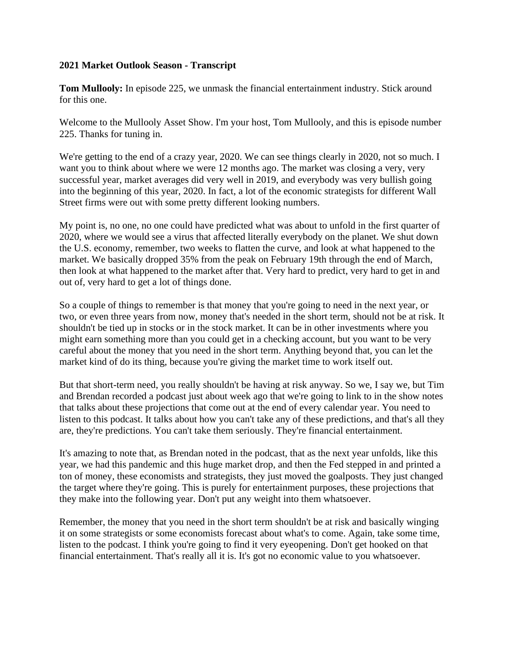## **2021 Market Outlook Season - Transcript**

**Tom Mullooly:** In episode 225, we unmask the financial entertainment industry. Stick around for this one.

Welcome to the Mullooly Asset Show. I'm your host, Tom Mullooly, and this is episode number 225. Thanks for tuning in.

We're getting to the end of a crazy year, 2020. We can see things clearly in 2020, not so much. I want you to think about where we were 12 months ago. The market was closing a very, very successful year, market averages did very well in 2019, and everybody was very bullish going into the beginning of this year, 2020. In fact, a lot of the economic strategists for different Wall Street firms were out with some pretty different looking numbers.

My point is, no one, no one could have predicted what was about to unfold in the first quarter of 2020, where we would see a virus that affected literally everybody on the planet. We shut down the U.S. economy, remember, two weeks to flatten the curve, and look at what happened to the market. We basically dropped 35% from the peak on February 19th through the end of March, then look at what happened to the market after that. Very hard to predict, very hard to get in and out of, very hard to get a lot of things done.

So a couple of things to remember is that money that you're going to need in the next year, or two, or even three years from now, money that's needed in the short term, should not be at risk. It shouldn't be tied up in stocks or in the stock market. It can be in other investments where you might earn something more than you could get in a checking account, but you want to be very careful about the money that you need in the short term. Anything beyond that, you can let the market kind of do its thing, because you're giving the market time to work itself out.

But that short-term need, you really shouldn't be having at risk anyway. So we, I say we, but Tim and Brendan recorded a podcast just about week ago that we're going to link to in the show notes that talks about these projections that come out at the end of every calendar year. You need to listen to this podcast. It talks about how you can't take any of these predictions, and that's all they are, they're predictions. You can't take them seriously. They're financial entertainment.

It's amazing to note that, as Brendan noted in the podcast, that as the next year unfolds, like this year, we had this pandemic and this huge market drop, and then the Fed stepped in and printed a ton of money, these economists and strategists, they just moved the goalposts. They just changed the target where they're going. This is purely for entertainment purposes, these projections that they make into the following year. Don't put any weight into them whatsoever.

Remember, the money that you need in the short term shouldn't be at risk and basically winging it on some strategists or some economists forecast about what's to come. Again, take some time, listen to the podcast. I think you're going to find it very eyeopening. Don't get hooked on that financial entertainment. That's really all it is. It's got no economic value to you whatsoever.